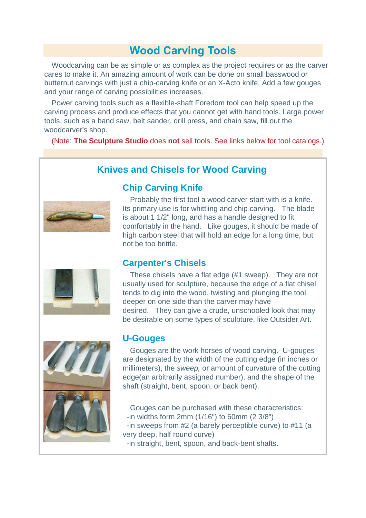# **Wood Carving Tools**

Woodcarving can be as simple or as complex as the project requires or as the carver cares to make it. An amazing amount of work can be done on small basswood or butternut carvings with just a chip-carving knife or an X-Acto knife. Add a few gouges and your range of carving possibilities increases.

Power carving tools such as a flexible-shaft Foredom tool can help speed up the carving process and produce effects that you cannot get with hand tools. Large power tools, such as a band saw, belt sander, drill press, and chain saw, fill out the woodcarver's shop.

(Note: **The Sculpture Studio** does **not** sell tools. See links below for tool catalogs.)

## **Knives and Chisels for Wood Carving**



Probably the first tool a wood carver start with is a knife. Its primary use is for whittling and chip carving. The blade is about 1 1/2" long, and has a handle designed to fit comfortably in the hand. Like gouges, it should be made of high carbon steel that will hold an edge for a long time, but not be too brittle.

### **Carpenter's Chisels**

**Chip Carving Knife**

These chisels have a flat edge (#1 sweep). They are not usually used for sculpture, because the edge of a flat chisel tends to dig into the wood, twisting and plunging the tool deeper on one side than the carver may have desired. They can give a crude, unschooled look that may be desirable on some types of sculpture, like Outsider Art.



### **U-Gouges**

Gouges are the work horses of wood carving. U-gouges are designated by the width of the cutting edge (in inches or millimeters), the *sweep,* or amount of curvature of the cutting edge(an arbitrarily assigned number), and the shape of the shaft (straight, bent, spoon, or back bent).

Gouges can be purchased with these characteristics: -in widths form 2mm (1/16") to 60mm (2 3/8") -in sweeps from #2 (a barely perceptible curve) to #11 (a very deep, half round curve) -in straight, bent, spoon, and back-bent shafts.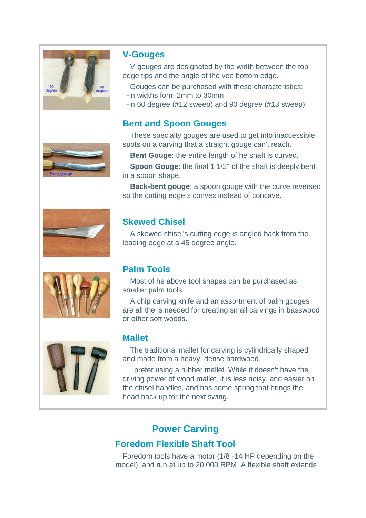

## **V-Gouges**

V-gouges are designated by the width between the top edge tips and the angle of the vee bottom edge.

Gouges can be purchased with these characteristics: -in widths form 2mm to 30mm

-in 60 degree (#12 sweep) and 90 degree (#13 sweep)

# **Bent and Spoon Gouges**

These specialty gouges are used to get into inaccessible spots on a carving that a straight gouge can't reach.

**Bent Gouge**: the entire length of he shaft is curved.

**Spoon Gouge:** the final 1 1/2" of the shaft is deeply bent in a spoon shape.

**Back-bent gouge**: a spoon gouge with the curve reversed so the cutting edge s convex instead of concave.







# **Skewed Chisel**

A skewed chisel's cutting edge is angled back from the leading edge at a 45 degree angle.

### **Palm Tools**

Most of he above tool shapes can be purchased as smaller palm tools.

A chip carving knife and an assortment of palm gouges are all the is needed for creating small carvings in basswood or other soft woods.

### **Mallet**

The traditional mallet for carving is cylindrically shaped and made from a heavy, dense hardwood.

I prefer using a rubber mallet. While it doesn't have the driving power of wood mallet, it is less noisy, and easier on the chisel handles, and has some spring that brings the head back up for the next swing.

# **Power Carving**

# **Foredom Flexible Shaft Tool**

Foredom tools have a motor (1/8 -14 HP depending on the model), and run at up to 20,000 RPM. A flexible shaft extends

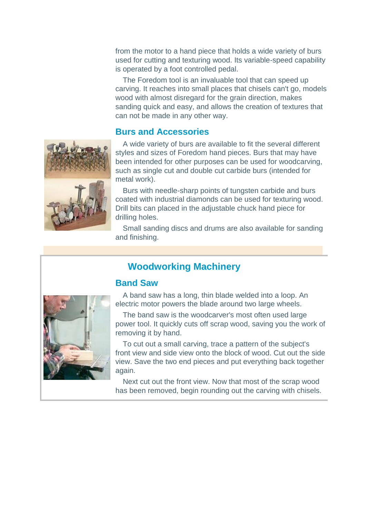from the motor to a hand piece that holds a wide variety of burs used for cutting and texturing wood. Its variable-speed capability is operated by a foot controlled pedal.

The Foredom tool is an invaluable tool that can speed up carving. It reaches into small places that chisels can't go, models wood with almost disregard for the grain direction, makes sanding quick and easy, and allows the creation of textures that can not be made in any other way.

### **Burs and Accessories**



A wide variety of burs are available to fit the several different styles and sizes of Foredom hand pieces. Burs that may have been intended for other purposes can be used for woodcarving, such as single cut and double cut carbide burs (intended for metal work).

Burs with needle-sharp points of tungsten carbide and burs coated with industrial diamonds can be used for texturing wood. Drill bits can placed in the adjustable chuck hand piece for drilling holes.

Small sanding discs and drums are also available for sanding and finishing.

### **Woodworking Machinery**

### **Band Saw**



A band saw has a long, thin blade welded into a loop. An electric motor powers the blade around two large wheels.

The band saw is the woodcarver's most often used large power tool. It quickly cuts off scrap wood, saving you the work of removing it by hand.

To cut out a small carving, trace a pattern of the subject's front view and side view onto the block of wood. Cut out the side view. Save the two end pieces and put everything back together again.

Next cut out the front view. Now that most of the scrap wood has been removed, begin rounding out the carving with chisels.